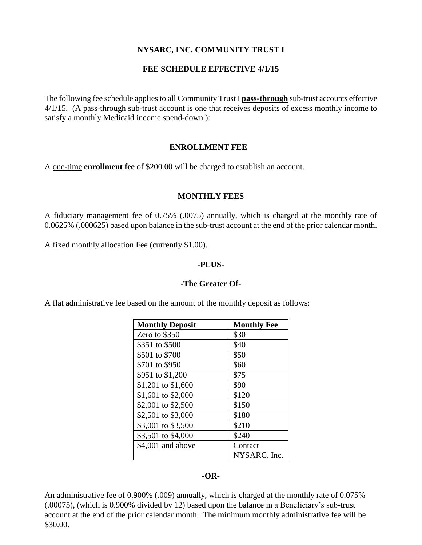# **NYSARC, INC. COMMUNITY TRUST I**

## **FEE SCHEDULE EFFECTIVE 4/1/15**

The following fee schedule applies to all Community Trust I **pass-through** sub-trust accounts effective 4/1/15. (A pass-through sub-trust account is one that receives deposits of excess monthly income to satisfy a monthly Medicaid income spend-down.):

#### **ENROLLMENT FEE**

A one-time **enrollment fee** of \$200.00 will be charged to establish an account.

#### **MONTHLY FEES**

A fiduciary management fee of 0.75% (.0075) annually, which is charged at the monthly rate of 0.0625% (.000625) based upon balance in the sub-trust account at the end of the prior calendar month.

A fixed monthly allocation Fee (currently \$1.00).

## **-PLUS-**

#### **-The Greater Of-**

A flat administrative fee based on the amount of the monthly deposit as follows:

| <b>Monthly Deposit</b> | <b>Monthly Fee</b> |
|------------------------|--------------------|
| Zero to \$350          | \$30               |
| \$351 to \$500         | \$40               |
| \$501 to \$700         | \$50               |
| \$701 to \$950         | \$60               |
| \$951 to \$1,200       | \$75               |
| \$1,201 to \$1,600     | \$90               |
| \$1,601 to \$2,000     | \$120              |
| \$2,001 to \$2,500     | \$150              |
| \$2,501 to \$3,000     | \$180              |
| \$3,001 to \$3,500     | \$210              |
| \$3,501 to \$4,000     | \$240              |
| \$4,001 and above      | Contact            |
|                        | NYSARC, Inc.       |

#### **-OR-**

An administrative fee of 0.900% (.009) annually, which is charged at the monthly rate of 0.075% (.00075), (which is 0.900% divided by 12) based upon the balance in a Beneficiary's sub-trust account at the end of the prior calendar month. The minimum monthly administrative fee will be \$30.00.